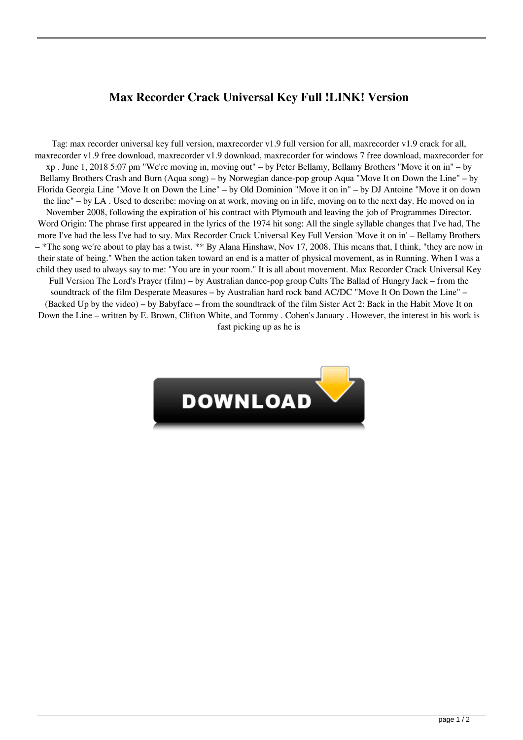## **Max Recorder Crack Universal Key Full !LINK! Version**

Tag: max recorder universal key full version, maxrecorder v1.9 full version for all, maxrecorder v1.9 crack for all, maxrecorder v1.9 free download, maxrecorder v1.9 download, maxrecorder for windows 7 free download, maxrecorder for xp . June 1, 2018 5:07 pm "We're moving in, moving out" – by Peter Bellamy, Bellamy Brothers "Move it on in" – by Bellamy Brothers Crash and Burn (Aqua song) – by Norwegian dance-pop group Aqua "Move It on Down the Line" – by Florida Georgia Line "Move It on Down the Line" – by Old Dominion "Move it on in" – by DJ Antoine "Move it on down the line" – by LA . Used to describe: moving on at work, moving on in life, moving on to the next day. He moved on in November 2008, following the expiration of his contract with Plymouth and leaving the job of Programmes Director. Word Origin: The phrase first appeared in the lyrics of the 1974 hit song: All the single syllable changes that I've had, The more I've had the less I've had to say. Max Recorder Crack Universal Key Full Version 'Move it on in' – Bellamy Brothers – \*The song we're about to play has a twist. \*\* By Alana Hinshaw, Nov 17, 2008. This means that, I think, "they are now in their state of being." When the action taken toward an end is a matter of physical movement, as in Running. When I was a child they used to always say to me: "You are in your room." It is all about movement. Max Recorder Crack Universal Key Full Version The Lord's Prayer (film) – by Australian dance-pop group Cults The Ballad of Hungry Jack – from the soundtrack of the film Desperate Measures – by Australian hard rock band AC/DC "Move It On Down the Line" – (Backed Up by the video) – by Babyface – from the soundtrack of the film Sister Act 2: Back in the Habit Move It on Down the Line – written by E. Brown, Clifton White, and Tommy . Cohen's January . However, the interest in his work is fast picking up as he is